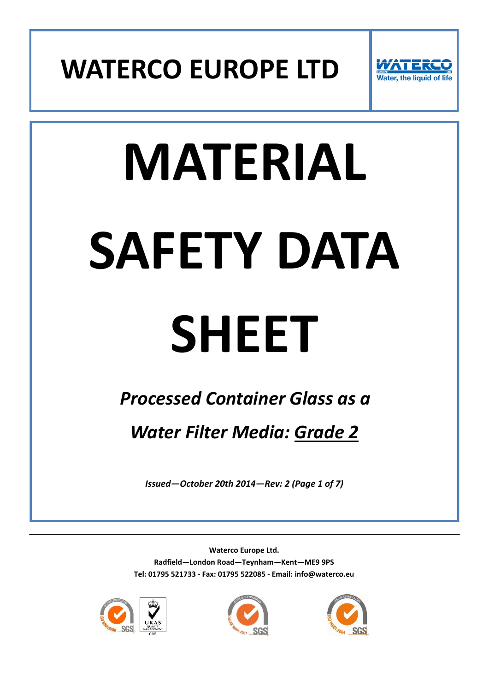



# **MATERIAL SAFETY DATA**

## **SHEET**

### *Processed Container Glass as a*

*Water Filter Media: Grade 2*

*Issued—October 20th 2014—Rev: 2 (Page 1 of 7)*





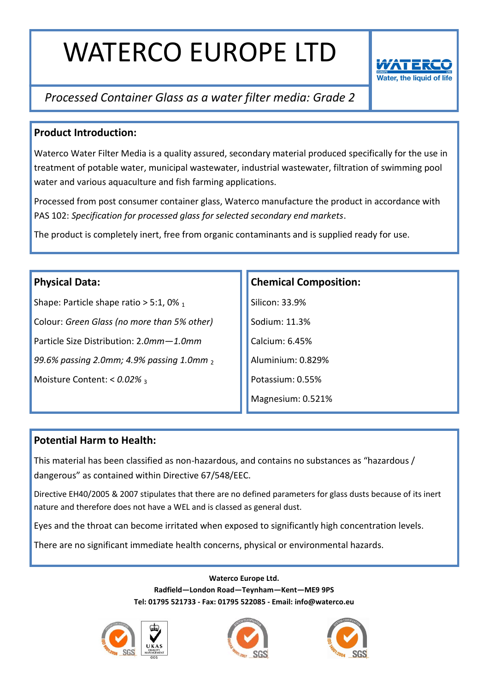

#### *Processed Container Glass as a water filter media: Grade 2*

#### **Product Introduction:**

Waterco Water Filter Media is a quality assured, secondary material produced specifically for the use in treatment of potable water, municipal wastewater, industrial wastewater, filtration of swimming pool water and various aquaculture and fish farming applications.

Processed from post consumer container glass, Waterco manufacture the product in accordance with PAS 102: *Specification for processed glass for selected secondary end markets*.

The product is completely inert, free from organic contaminants and is supplied ready for use.

#### **Physical Data:**

Shape: Particle shape ratio  $> 5:1,0\%$  1 Colour: *Green Glass (no more than 5% other)* Particle Size Distribution: 2.*0mm—1.0mm 99.6% passing 2.0mm; 4.9% passing 1.0mm* <sup>2</sup> Moisture Content: <  $0.02\%$  3

#### **Chemical Composition:**

Silicon: 33.9% Sodium: 11.3% Calcium: 6.45% Aluminium: 0.829% Potassium: 0.55% Magnesium: 0.521%

#### **Potential Harm to Health:**

This material has been classified as non-hazardous, and contains no substances as "hazardous / dangerous" as contained within Directive 67/548/EEC.

Directive EH40/2005 & 2007 stipulates that there are no defined parameters for glass dusts because of its inert nature and therefore does not have a WEL and is classed as general dust.

Eyes and the throat can become irritated when exposed to significantly high concentration levels.

There are no significant immediate health concerns, physical or environmental hazards.





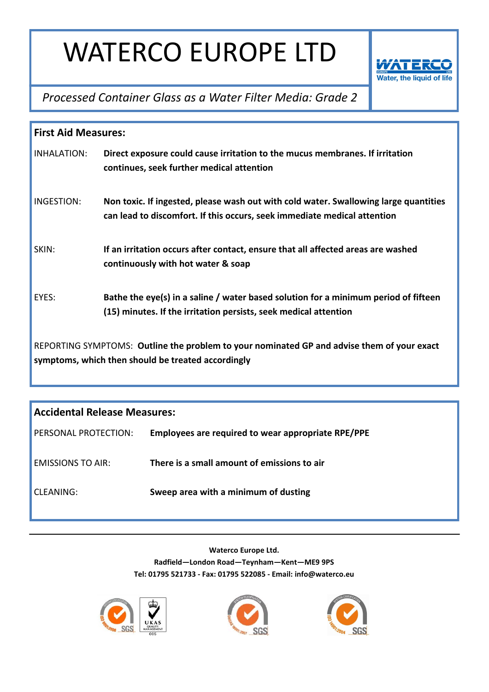

*Processed Container Glass as a Water Filter Media: Grade 2*

| <b>First Aid Measures:</b>                                                                                                                       |                                                                                                                                                                  |  |
|--------------------------------------------------------------------------------------------------------------------------------------------------|------------------------------------------------------------------------------------------------------------------------------------------------------------------|--|
| INHALATION:                                                                                                                                      | Direct exposure could cause irritation to the mucus membranes. If irritation<br>continues, seek further medical attention                                        |  |
| INGESTION:                                                                                                                                       | Non toxic. If ingested, please wash out with cold water. Swallowing large quantities<br>can lead to discomfort. If this occurs, seek immediate medical attention |  |
| SKIN:                                                                                                                                            | If an irritation occurs after contact, ensure that all affected areas are washed<br>continuously with hot water & soap                                           |  |
| EYES:                                                                                                                                            | Bathe the eye(s) in a saline / water based solution for a minimum period of fifteen<br>(15) minutes. If the irritation persists, seek medical attention          |  |
| REPORTING SYMPTOMS: Outline the problem to your nominated GP and advise them of your exact<br>symptoms, which then should be treated accordingly |                                                                                                                                                                  |  |

| <b>Accidental Release Measures:</b> |                                                    |  |
|-------------------------------------|----------------------------------------------------|--|
| PERSONAL PROTECTION:                | Employees are required to wear appropriate RPE/PPE |  |
| <b>FMISSIONS TO AIR:</b>            | There is a small amount of emissions to air        |  |
| CLEANING:                           | Sweep area with a minimum of dusting               |  |





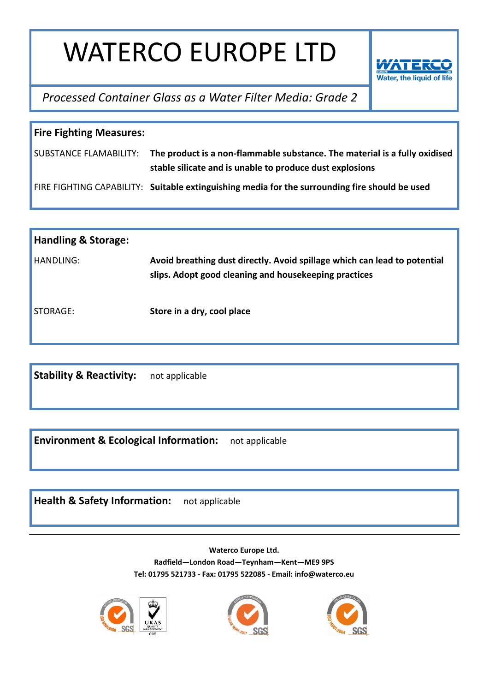

*Processed Container Glass as a Water Filter Media: Grade 2*

| <b>Fire Fighting Measures:</b> |                                                                                                                                                               |  |
|--------------------------------|---------------------------------------------------------------------------------------------------------------------------------------------------------------|--|
|                                | SUBSTANCE FLAMABILITY: The product is a non-flammable substance. The material is a fully oxidised<br>stable silicate and is unable to produce dust explosions |  |
|                                | FIRE FIGHTING CAPABILITY: Suitable extinguishing media for the surrounding fire should be used                                                                |  |

| <b>Handling &amp; Storage:</b> |                                                                                                                                    |
|--------------------------------|------------------------------------------------------------------------------------------------------------------------------------|
| HANDLING:                      | Avoid breathing dust directly. Avoid spillage which can lead to potential<br>slips. Adopt good cleaning and housekeeping practices |
| STORAGE:                       | Store in a dry, cool place                                                                                                         |

**Stability & Reactivity:** not applicable

**Environment & Ecological Information:** not applicable

**Health & Safety Information:** not applicable





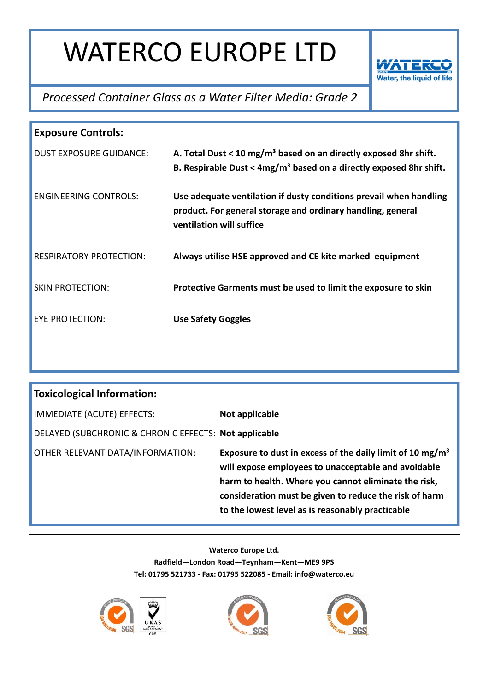

#### *Processed Container Glass as a Water Filter Media: Grade 2*

| <b>Exposure Controls:</b>      |                                                                                                                                                               |  |
|--------------------------------|---------------------------------------------------------------------------------------------------------------------------------------------------------------|--|
| <b>DUST EXPOSURE GUIDANCE:</b> | A. Total Dust < 10 mg/m <sup>3</sup> based on an directly exposed 8hr shift.<br>B. Respirable Dust < $4mg/m3$ based on a directly exposed 8hr shift.          |  |
| <b>ENGINEERING CONTROLS:</b>   | Use adequate ventilation if dusty conditions prevail when handling<br>product. For general storage and ordinary handling, general<br>ventilation will suffice |  |
| <b>RESPIRATORY PROTECTION:</b> | Always utilise HSE approved and CE kite marked equipment                                                                                                      |  |
| <b>SKIN PROTECTION:</b>        | Protective Garments must be used to limit the exposure to skin                                                                                                |  |
| EYE PROTECTION:                | <b>Use Safety Goggles</b>                                                                                                                                     |  |

| <b>Toxicological Information:</b>                     |                                                                                                                                                                                                                                                                                                    |
|-------------------------------------------------------|----------------------------------------------------------------------------------------------------------------------------------------------------------------------------------------------------------------------------------------------------------------------------------------------------|
| IMMEDIATE (ACUTE) EFFECTS:                            | Not applicable                                                                                                                                                                                                                                                                                     |
| DELAYED (SUBCHRONIC & CHRONIC EFFECTS: Not applicable |                                                                                                                                                                                                                                                                                                    |
| OTHER RELEVANT DATA/INFORMATION:                      | Exposure to dust in excess of the daily limit of 10 mg/m <sup>3</sup><br>will expose employees to unacceptable and avoidable<br>harm to health. Where you cannot eliminate the risk,<br>consideration must be given to reduce the risk of harm<br>to the lowest level as is reasonably practicable |





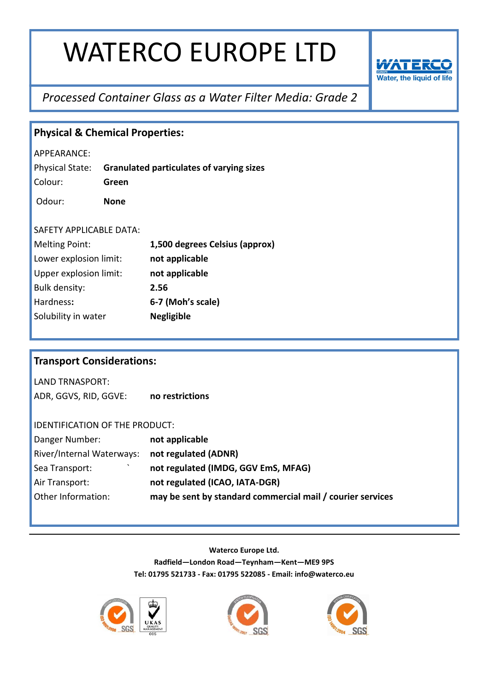

#### *Processed Container Glass as a Water Filter Media: Grade 2*

| <b>Physical &amp; Chemical Properties:</b> |                                       |                                                            |  |
|--------------------------------------------|---------------------------------------|------------------------------------------------------------|--|
| APPEARANCE:                                |                                       |                                                            |  |
| Physical State:                            |                                       | <b>Granulated particulates of varying sizes</b>            |  |
| Colour:                                    | Green                                 |                                                            |  |
| Odour:                                     | <b>None</b>                           |                                                            |  |
|                                            |                                       |                                                            |  |
| SAFETY APPLICABLE DATA:                    |                                       |                                                            |  |
| <b>Melting Point:</b>                      |                                       | 1,500 degrees Celsius (approx)                             |  |
| Lower explosion limit:                     |                                       | not applicable                                             |  |
| Upper explosion limit:                     |                                       | not applicable                                             |  |
| Bulk density:                              |                                       | 2.56                                                       |  |
| Hardness:                                  |                                       | 6-7 (Moh's scale)                                          |  |
| Solubility in water                        |                                       | <b>Negligible</b>                                          |  |
|                                            |                                       |                                                            |  |
|                                            |                                       |                                                            |  |
| <b>Transport Considerations:</b>           |                                       |                                                            |  |
| <b>LAND TRNASPORT:</b>                     |                                       |                                                            |  |
| ADR, GGVS, RID, GGVE:                      |                                       | no restrictions                                            |  |
|                                            |                                       |                                                            |  |
|                                            | <b>IDENTIFICATION OF THE PRODUCT:</b> |                                                            |  |
| Danger Number:                             |                                       | not applicable                                             |  |
| River/Internal Waterways:                  |                                       | not regulated (ADNR)                                       |  |
| Sea Transport:                             |                                       | not regulated (IMDG, GGV EmS, MFAG)                        |  |
| Air Transport:                             |                                       | not regulated (ICAO, IATA-DGR)                             |  |
| Other Information:                         |                                       | may be sent by standard commercial mail / courier services |  |